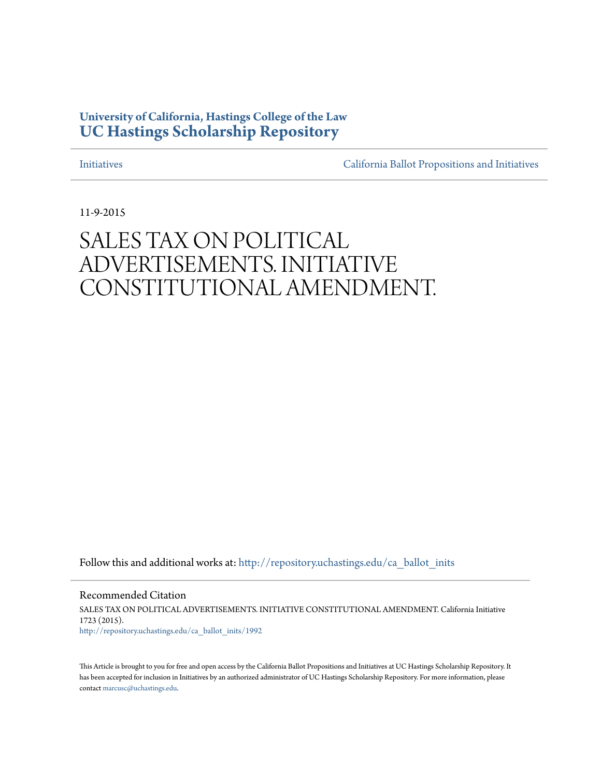## **University of California, Hastings College of the Law [UC Hastings Scholarship Repository](http://repository.uchastings.edu?utm_source=repository.uchastings.edu%2Fca_ballot_inits%2F1992&utm_medium=PDF&utm_campaign=PDFCoverPages)**

[Initiatives](http://repository.uchastings.edu/ca_ballot_inits?utm_source=repository.uchastings.edu%2Fca_ballot_inits%2F1992&utm_medium=PDF&utm_campaign=PDFCoverPages) [California Ballot Propositions and Initiatives](http://repository.uchastings.edu/ca_ballots?utm_source=repository.uchastings.edu%2Fca_ballot_inits%2F1992&utm_medium=PDF&utm_campaign=PDFCoverPages)

11-9-2015

## SALES TAX ON POLITICAL ADVERTISEMENTS. INITIATIVE CONSTITUTIONAL AMENDMENT.

Follow this and additional works at: [http://repository.uchastings.edu/ca\\_ballot\\_inits](http://repository.uchastings.edu/ca_ballot_inits?utm_source=repository.uchastings.edu%2Fca_ballot_inits%2F1992&utm_medium=PDF&utm_campaign=PDFCoverPages)

Recommended Citation SALES TAX ON POLITICAL ADVERTISEMENTS. INITIATIVE CONSTITUTIONAL AMENDMENT. California Initiative 1723 (2015). [http://repository.uchastings.edu/ca\\_ballot\\_inits/1992](http://repository.uchastings.edu/ca_ballot_inits/1992?utm_source=repository.uchastings.edu%2Fca_ballot_inits%2F1992&utm_medium=PDF&utm_campaign=PDFCoverPages)

This Article is brought to you for free and open access by the California Ballot Propositions and Initiatives at UC Hastings Scholarship Repository. It has been accepted for inclusion in Initiatives by an authorized administrator of UC Hastings Scholarship Repository. For more information, please contact [marcusc@uchastings.edu](mailto:marcusc@uchastings.edu).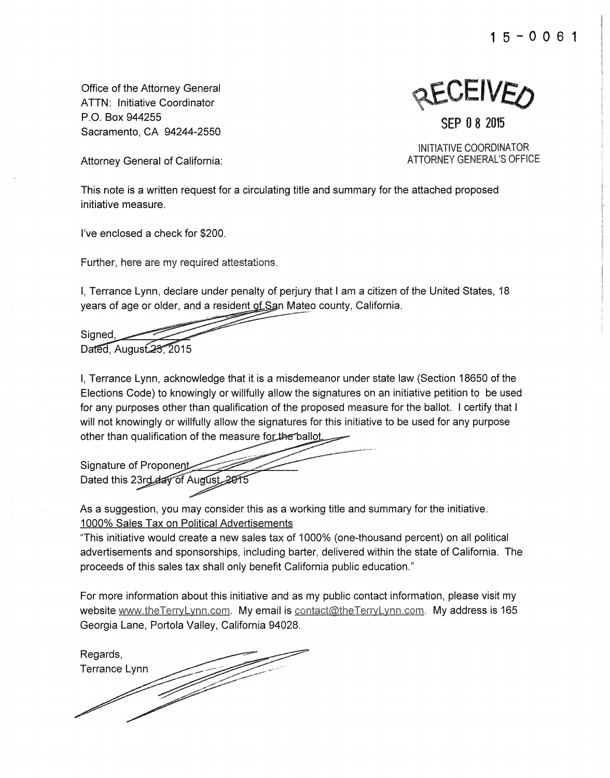**1** 5 - 0 0 6 **1** 

Office of the Attorney General **ATTN:** Initiative Coordinator **P.** 0. Box 944255 Sacramento, CA 94244-2550

SEP 0 8 2015

INITIATIVE COORDINATOR ATTORNEY GENERAL'S OFFICE

Attorney General of California:

This note is a written request for a circulating title and summary for the attached proposed initiative measure.

I've enclosed a check for \$200.

Further, here are my required attestations.

I, Terrance Lynn, declare under penalty of perjury that I am a citizen of the United States, 18 years of age or older, and a resident of San Mateo county, California.

Signed. Dated. August 23, 2015

I, Terrance Lynn, acknowledge that it is a misdemeanor under state law (Section 18650 of the Elections Code) to knowingly or willfully allow the signatures on an initiative petition to be used for any purposes other than qualification of the proposed measure for the ballot. I certify that I will not knowingly or willfully allow the signatures for this initiative to be used for any purpose

other than qualification of the measure for the ballot<br>Signature of Proponent Dated this 23rd day of August

As a suggestion, you may consider this as a working title and summary for the initiative. 1000% Sales Tax on Political Advertisements

"This initiative would create a new sales tax of 1000% (one-thousand percent) on all political advertisements and sponsorships, including barter, delivered within the state of California. The proceeds of this sales tax shall only benefit California public education."

For more information about this initiative and as my public contact information, please visit my website www.theTerryLynn.com. My email is contact@theTerryLynn.com. My address is 165 Georgia Lane, Portola Valley, California 94028.

Regards, Terrance Lynn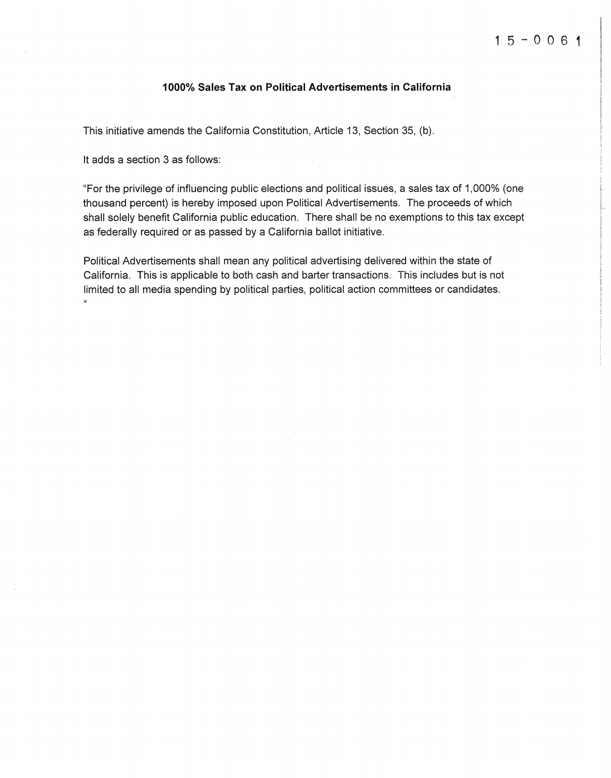## **1000% Sales Tax on Political Advertisements in California**

This initiative amends the California Constitution, Article 13, Section 35, (b).

It adds a section 3 as follows:

"For the privilege of influencing public elections and political issues, a sales tax of 1,000% (one thousand percent) is hereby imposed upon Political Advertisements. The proceeds of which shall solely benefit California public education. There shall be no exemptions to this tax except as federally required or as passed by a California ballot initiative.

Political Advertisements shall mean any political advertising delivered within the state of California. This is applicable to both cash and barter transactions. This includes but is not limited to all media spending by political parties, political action committees or candidates.